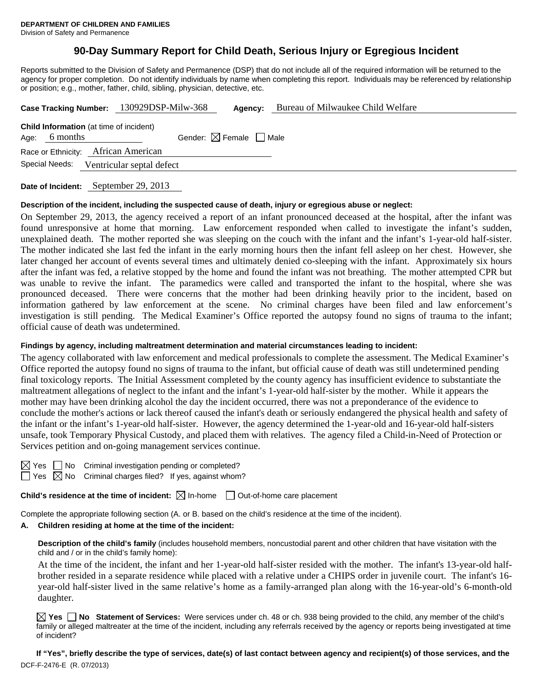# **90-Day Summary Report for Child Death, Serious Injury or Egregious Incident**

Reports submitted to the Division of Safety and Permanence (DSP) that do not include all of the required information will be returned to the agency for proper completion. Do not identify individuals by name when completing this report. Individuals may be referenced by relationship or position; e.g., mother, father, child, sibling, physician, detective, etc.

| Case Tracking Number: 130929DSP-Milw-368                          |                           | Agency:                                | Bureau of Milwaukee Child Welfare |  |
|-------------------------------------------------------------------|---------------------------|----------------------------------------|-----------------------------------|--|
| <b>Child Information</b> (at time of incident)<br>Age: $6$ months |                           | Gender: $\boxtimes$ Female $\Box$ Male |                                   |  |
| Race or Ethnicity: African American                               |                           |                                        |                                   |  |
| Special Needs:                                                    | Ventricular septal defect |                                        |                                   |  |
|                                                                   |                           |                                        |                                   |  |

**Date of Incident:** September 29, 2013

#### **Description of the incident, including the suspected cause of death, injury or egregious abuse or neglect:**

On September 29, 2013, the agency received a report of an infant pronounced deceased at the hospital, after the infant was found unresponsive at home that morning. Law enforcement responded when called to investigate the infant's sudden, unexplained death. The mother reported she was sleeping on the couch with the infant and the infant's 1-year-old half-sister. The mother indicated she last fed the infant in the early morning hours then the infant fell asleep on her chest. However, she later changed her account of events several times and ultimately denied co-sleeping with the infant. Approximately six hours after the infant was fed, a relative stopped by the home and found the infant was not breathing. The mother attempted CPR but was unable to revive the infant. The paramedics were called and transported the infant to the hospital, where she was pronounced deceased. There were concerns that the mother had been drinking heavily prior to the incident, based on information gathered by law enforcement at the scene. No criminal charges have been filed and law enforcement's investigation is still pending. The Medical Examiner's Office reported the autopsy found no signs of trauma to the infant; official cause of death was undetermined.

#### **Findings by agency, including maltreatment determination and material circumstances leading to incident:**

The agency collaborated with law enforcement and medical professionals to complete the assessment. The Medical Examiner's Office reported the autopsy found no signs of trauma to the infant, but official cause of death was still undetermined pending final toxicology reports. The Initial Assessment completed by the county agency has insufficient evidence to substantiate the maltreatment allegations of neglect to the infant and the infant's 1-year-old half-sister by the mother. While it appears the mother may have been drinking alcohol the day the incident occurred, there was not a preponderance of the evidence to conclude the mother's actions or lack thereof caused the infant's death or seriously endangered the physical health and safety of the infant or the infant's 1-year-old half-sister. However, the agency determined the 1-year-old and 16-year-old half-sisters unsafe, took Temporary Physical Custody, and placed them with relatives. The agency filed a Child-in-Need of Protection or Services petition and on-going management services continue.

No Criminal investigation pending or completed?

No Criminal charges filed? If yes, against whom?

**Child's residence at the time of incident:**  $\boxtimes$  In-home  $\Box$  Out-of-home care placement

Complete the appropriate following section (A. or B. based on the child's residence at the time of the incident).

## **A. Children residing at home at the time of the incident:**

**Description of the child's family** (includes household members, noncustodial parent and other children that have visitation with the child and / or in the child's family home):

 At the time of the incident, the infant and her 1-year-old half-sister resided with the mother. The infant's 13-year-old halfbrother resided in a separate residence while placed with a relative under a CHIPS order in juvenile court. The infant's 16 year-old half-sister lived in the same relative's home as a family-arranged plan along with the 16-year-old's 6-month-old daughter.

**Yes No Statement of Services:** Were services under ch. 48 or ch. 938 being provided to the child, any member of the child's family or alleged maltreater at the time of the incident, including any referrals received by the agency or reports being investigated at time of incident?

DCF-F-2476-E (R. 07/2013) **If "Yes", briefly describe the type of services, date(s) of last contact between agency and recipient(s) of those services, and the**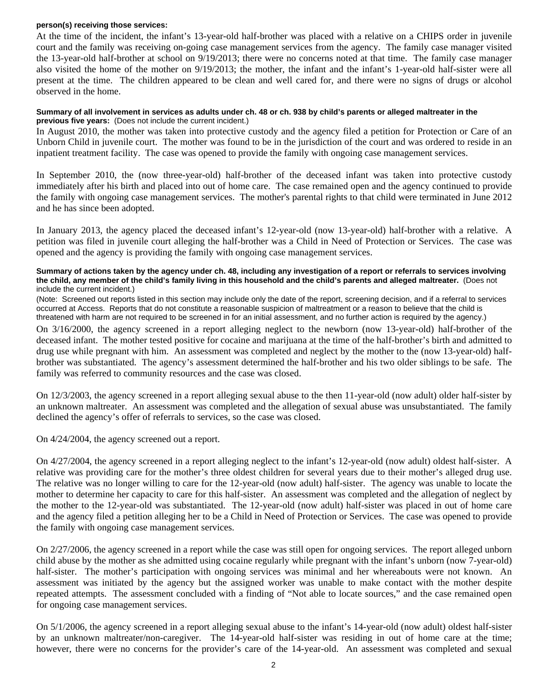#### **person(s) receiving those services:**

At the time of the incident, the infant's 13-year-old half-brother was placed with a relative on a CHIPS order in juvenile court and the family was receiving on-going case management services from the agency. The family case manager visited the 13-year-old half-brother at school on 9/19/2013; there were no concerns noted at that time. The family case manager also visited the home of the mother on 9/19/2013; the mother, the infant and the infant's 1-year-old half-sister were all present at the time. The children appeared to be clean and well cared for, and there were no signs of drugs or alcohol observed in the home.

#### **Summary of all involvement in services as adults under ch. 48 or ch. 938 by child's parents or alleged maltreater in the previous five years:** (Does not include the current incident.)

In August 2010, the mother was taken into protective custody and the agency filed a petition for Protection or Care of an Unborn Child in juvenile court. The mother was found to be in the jurisdiction of the court and was ordered to reside in an inpatient treatment facility. The case was opened to provide the family with ongoing case management services.

In September 2010, the (now three-year-old) half-brother of the deceased infant was taken into protective custody immediately after his birth and placed into out of home care. The case remained open and the agency continued to provide the family with ongoing case management services. The mother's parental rights to that child were terminated in June 2012 and he has since been adopted.

In January 2013, the agency placed the deceased infant's 12-year-old (now 13-year-old) half-brother with a relative. A petition was filed in juvenile court alleging the half-brother was a Child in Need of Protection or Services. The case was opened and the agency is providing the family with ongoing case management services.

**Summary of actions taken by the agency under ch. 48, including any investigation of a report or referrals to services involving the child, any member of the child's family living in this household and the child's parents and alleged maltreater.** (Does not include the current incident.)

(Note: Screened out reports listed in this section may include only the date of the report, screening decision, and if a referral to services occurred at Access. Reports that do not constitute a reasonable suspicion of maltreatment or a reason to believe that the child is threatened with harm are not required to be screened in for an initial assessment, and no further action is required by the agency.)

On 3/16/2000, the agency screened in a report alleging neglect to the newborn (now 13-year-old) half-brother of the deceased infant. The mother tested positive for cocaine and marijuana at the time of the half-brother's birth and admitted to drug use while pregnant with him. An assessment was completed and neglect by the mother to the (now 13-year-old) halfbrother was substantiated. The agency's assessment determined the half-brother and his two older siblings to be safe. The family was referred to community resources and the case was closed.

On 12/3/2003, the agency screened in a report alleging sexual abuse to the then 11-year-old (now adult) older half-sister by an unknown maltreater. An assessment was completed and the allegation of sexual abuse was unsubstantiated. The family declined the agency's offer of referrals to services, so the case was closed.

On 4/24/2004, the agency screened out a report.

On 4/27/2004, the agency screened in a report alleging neglect to the infant's 12-year-old (now adult) oldest half-sister. A relative was providing care for the mother's three oldest children for several years due to their mother's alleged drug use. The relative was no longer willing to care for the 12-year-old (now adult) half-sister. The agency was unable to locate the mother to determine her capacity to care for this half-sister. An assessment was completed and the allegation of neglect by the mother to the 12-year-old was substantiated. The 12-year-old (now adult) half-sister was placed in out of home care and the agency filed a petition alleging her to be a Child in Need of Protection or Services. The case was opened to provide the family with ongoing case management services.

On 2/27/2006, the agency screened in a report while the case was still open for ongoing services. The report alleged unborn child abuse by the mother as she admitted using cocaine regularly while pregnant with the infant's unborn (now 7-year-old) half-sister. The mother's participation with ongoing services was minimal and her whereabouts were not known. An assessment was initiated by the agency but the assigned worker was unable to make contact with the mother despite repeated attempts. The assessment concluded with a finding of "Not able to locate sources," and the case remained open for ongoing case management services.

On 5/1/2006, the agency screened in a report alleging sexual abuse to the infant's 14-year-old (now adult) oldest half-sister by an unknown maltreater/non-caregiver. The 14-year-old half-sister was residing in out of home care at the time; however, there were no concerns for the provider's care of the 14-year-old. An assessment was completed and sexual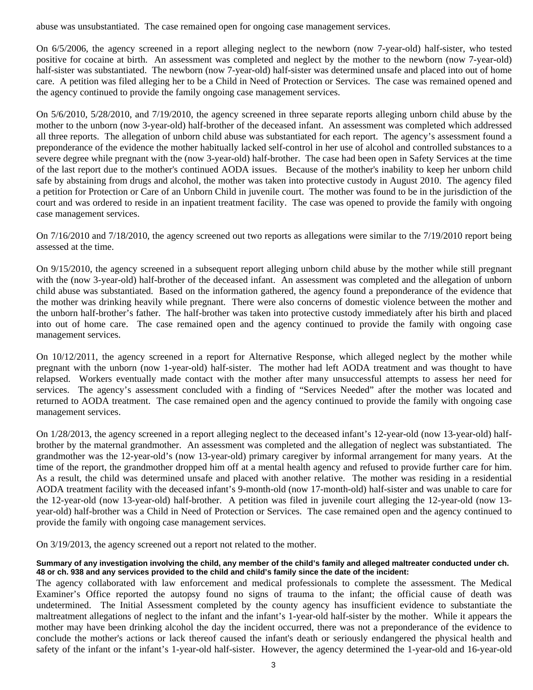abuse was unsubstantiated. The case remained open for ongoing case management services.

On 6/5/2006, the agency screened in a report alleging neglect to the newborn (now 7-year-old) half-sister, who tested positive for cocaine at birth. An assessment was completed and neglect by the mother to the newborn (now 7-year-old) half-sister was substantiated. The newborn (now 7-year-old) half-sister was determined unsafe and placed into out of home care. A petition was filed alleging her to be a Child in Need of Protection or Services. The case was remained opened and the agency continued to provide the family ongoing case management services.

On 5/6/2010, 5/28/2010, and 7/19/2010, the agency screened in three separate reports alleging unborn child abuse by the mother to the unborn (now 3-year-old) half-brother of the deceased infant. An assessment was completed which addressed all three reports. The allegation of unborn child abuse was substantiated for each report. The agency's assessment found a preponderance of the evidence the mother habitually lacked self-control in her use of alcohol and controlled substances to a severe degree while pregnant with the (now 3-year-old) half-brother. The case had been open in Safety Services at the time of the last report due to the mother's continued AODA issues. Because of the mother's inability to keep her unborn child safe by abstaining from drugs and alcohol, the mother was taken into protective custody in August 2010. The agency filed a petition for Protection or Care of an Unborn Child in juvenile court. The mother was found to be in the jurisdiction of the court and was ordered to reside in an inpatient treatment facility. The case was opened to provide the family with ongoing case management services.

On 7/16/2010 and 7/18/2010, the agency screened out two reports as allegations were similar to the 7/19/2010 report being assessed at the time.

On 9/15/2010, the agency screened in a subsequent report alleging unborn child abuse by the mother while still pregnant with the (now 3-year-old) half-brother of the deceased infant. An assessment was completed and the allegation of unborn child abuse was substantiated. Based on the information gathered, the agency found a preponderance of the evidence that the mother was drinking heavily while pregnant. There were also concerns of domestic violence between the mother and the unborn half-brother's father. The half-brother was taken into protective custody immediately after his birth and placed into out of home care. The case remained open and the agency continued to provide the family with ongoing case management services.

On 10/12/2011, the agency screened in a report for Alternative Response, which alleged neglect by the mother while pregnant with the unborn (now 1-year-old) half-sister. The mother had left AODA treatment and was thought to have relapsed. Workers eventually made contact with the mother after many unsuccessful attempts to assess her need for services. The agency's assessment concluded with a finding of "Services Needed" after the mother was located and returned to AODA treatment. The case remained open and the agency continued to provide the family with ongoing case management services.

On 1/28/2013, the agency screened in a report alleging neglect to the deceased infant's 12-year-old (now 13-year-old) halfbrother by the maternal grandmother. An assessment was completed and the allegation of neglect was substantiated. The grandmother was the 12-year-old's (now 13-year-old) primary caregiver by informal arrangement for many years. At the time of the report, the grandmother dropped him off at a mental health agency and refused to provide further care for him. As a result, the child was determined unsafe and placed with another relative. The mother was residing in a residential AODA treatment facility with the deceased infant's 9-month-old (now 17-month-old) half-sister and was unable to care for the 12-year-old (now 13-year-old) half-brother. A petition was filed in juvenile court alleging the 12-year-old (now 13 year-old) half-brother was a Child in Need of Protection or Services. The case remained open and the agency continued to provide the family with ongoing case management services.

On 3/19/2013, the agency screened out a report not related to the mother.

### **Summary of any investigation involving the child, any member of the child's family and alleged maltreater conducted under ch. 48 or ch. 938 and any services provided to the child and child's family since the date of the incident:**

The agency collaborated with law enforcement and medical professionals to complete the assessment. The Medical Examiner's Office reported the autopsy found no signs of trauma to the infant; the official cause of death was undetermined. The Initial Assessment completed by the county agency has insufficient evidence to substantiate the maltreatment allegations of neglect to the infant and the infant's 1-year-old half-sister by the mother. While it appears the mother may have been drinking alcohol the day the incident occurred, there was not a preponderance of the evidence to conclude the mother's actions or lack thereof caused the infant's death or seriously endangered the physical health and safety of the infant or the infant's 1-year-old half-sister. However, the agency determined the 1-year-old and 16-year-old